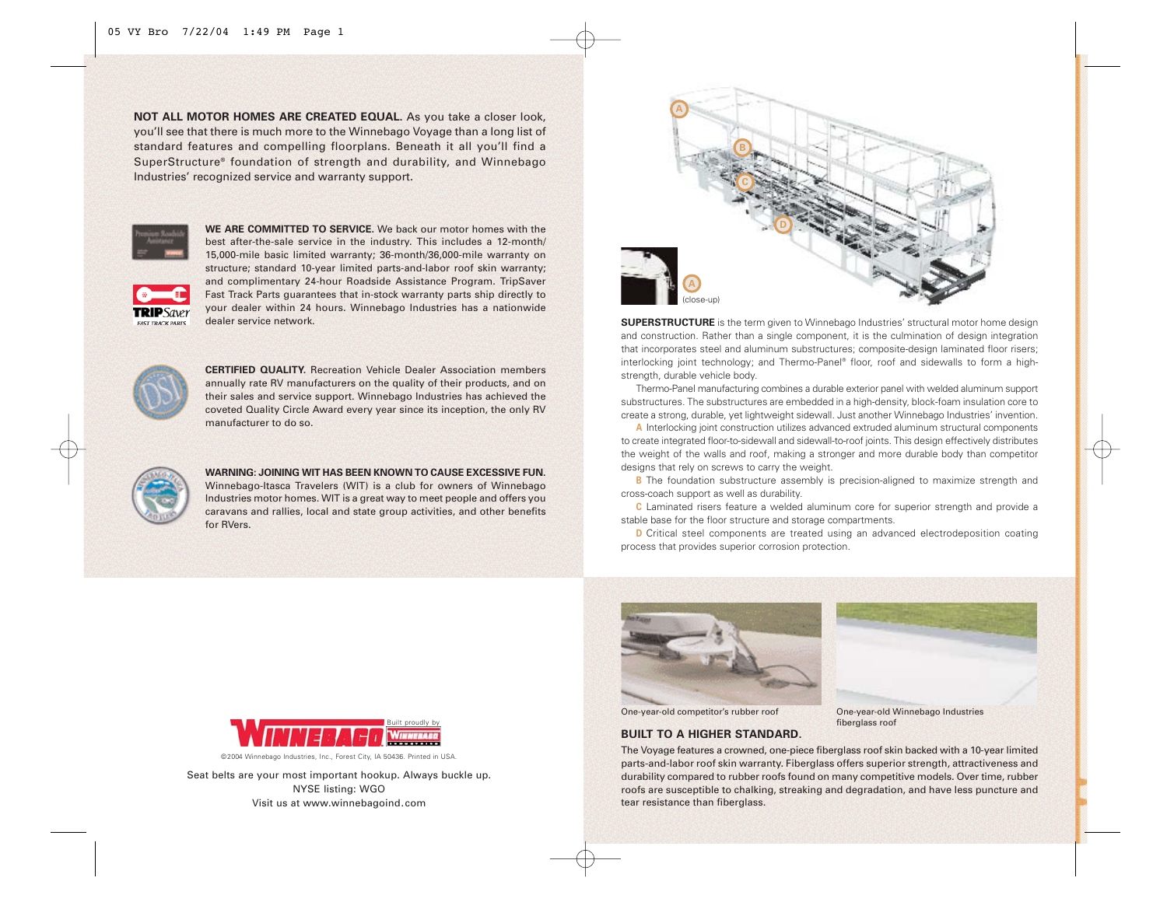**NOT ALL MOTOR HOMES ARE CREATED EQUAL.** As you take a closer look, you'll see that there is much more to the Winnebago Voyage than a long list of standard features and compelling floorplans. Beneath it all you'll find a SuperStructure® foundation of strength and durability, and Winnebago Industries' recognized service and warranty support.



**WE ARE COMMITTED TO SERVICE.** We back our motor homes with the best after-the-sale service in the industry. This includes a 12-month/ 15,000-mile basic limited warranty; 36-month/36,000-mile warranty on structure; standard 10-year limited parts-and-labor roof skin warranty; and complimentary 24-hour Roadside Assistance Program. TripSaver Fast Track Parts guarantees that in-stock warranty parts ship directly to your dealer within 24 hours. Winnebago Industries has a nationwide dealer service network.



**CERTIFIED QUALITY.** Recreation Vehicle Dealer Association members annually rate RV manufacturers on the quality of their products, and on their sales and service support. Winnebago Industries has achieved the coveted Quality Circle Award every year since its inception, the only RV manufacturer to do so.



**WARNING: JOINING WIT HAS BEEN KNOWN TO CAUSE EXCESSIVE FUN.**

Winnebago-Itasca Travelers (WIT) is a club for owners of Winnebago Industries motor homes. WIT is a great way to meet people and offers you caravans and rallies, local and state group activities, and other benefits for RVers.



**SUPERSTRUCTURE** is the term given to Winnebago Industries' structural motor home design and construction. Rather than a single component, it is the culmination of design integration that incorporates steel and aluminum substructures; composite-design laminated floor risers; interlocking joint technology; and Thermo-Panel® floor, roof and sidewalls to form a highstrength, durable vehicle body.

Thermo-Panel manufacturing combines a durable exterior panel with welded aluminum support substructures. The substructures are embedded in a high-density, block-foam insulation core to create a strong, durable, yet lightweight sidewall. Just another Winnebago Industries' invention.

**A** Interlocking joint construction utilizes advanced extruded aluminum structural components to create integrated floor-to-sidewall and sidewall-to-roof joints. This design effectively distributes the weight of the walls and roof, making a stronger and more durable body than competitor designs that rely on screws to carry the weight.

**B** The foundation substructure assembly is precision-aligned to maximize strength and cross-coach support as well as durability.

**C** Laminated risers feature a welded aluminum core for superior strength and provide a stable base for the floor structure and storage compartments.

**D** Critical steel components are treated using an advanced electrodeposition coating process that provides superior corrosion protection.





One-year-old competitor's rubber roof One-year-old Winnebago Industries

#### **BUILT TO A HIGHER STANDARD.**

The Voyage features a crowned, one-piece fiberglass roof skin backed with a 10-year limited parts-and-labor roof skin warranty. Fiberglass offers superior strength, attractiveness and durability compared to rubber roofs found on many competitive models. Over time, rubber roofs are susceptible to chalking, streaking and degradation, and have less puncture and tear resistance than fiberglass.

fiberglass roof



©2004 Winnebago Industries, Inc., Forest City, IA 50436. Printed in USA.

Seat belts are your most important hookup. Always buckle up. NYSE listing: WGO Visit us at www.winnebagoind.com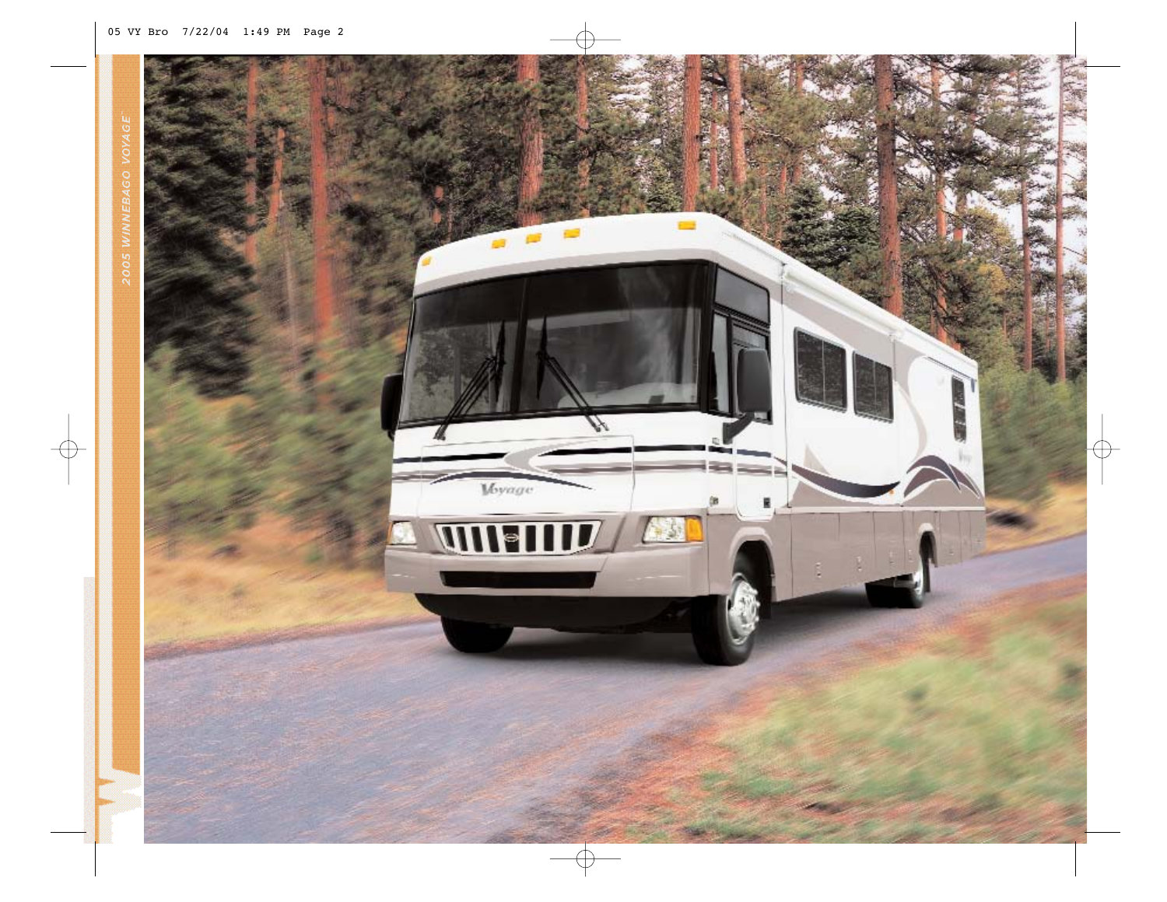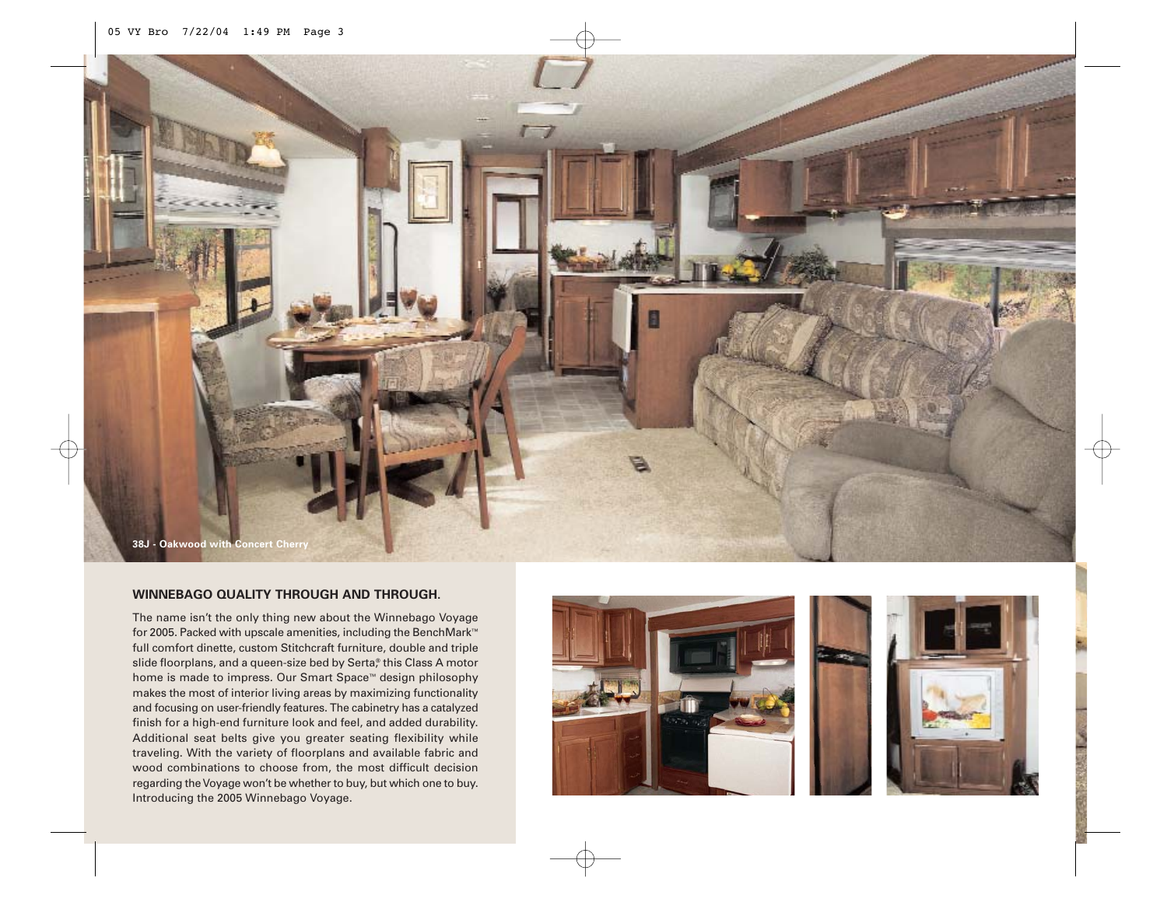

## **WINNEBAGO QUALITY THROUGH AND THROUGH.**

The name isn't the only thing new about the Winnebago Voyage for 2005. Packed with upscale amenities, including the BenchMark™ full comfort dinette, custom Stitchcraft furniture, double and triple slide floorplans, and a queen-size bed by Serta,<sup>®</sup> this Class A motor home is made to impress. Our Smart Space™ design philosophy makes the most of interior living areas by maximizing functionality and focusing on user-friendly features. The cabinetry has a catalyzed finish for a high-end furniture look and feel, and added durability. Additional seat belts give you greater seating flexibility while traveling. With the variety of floorplans and available fabric and wood combinations to choose from, the most difficult decision regarding the Voyage won't be whether to buy, but which one to buy. Introducing the 2005 Winnebago Voyage.





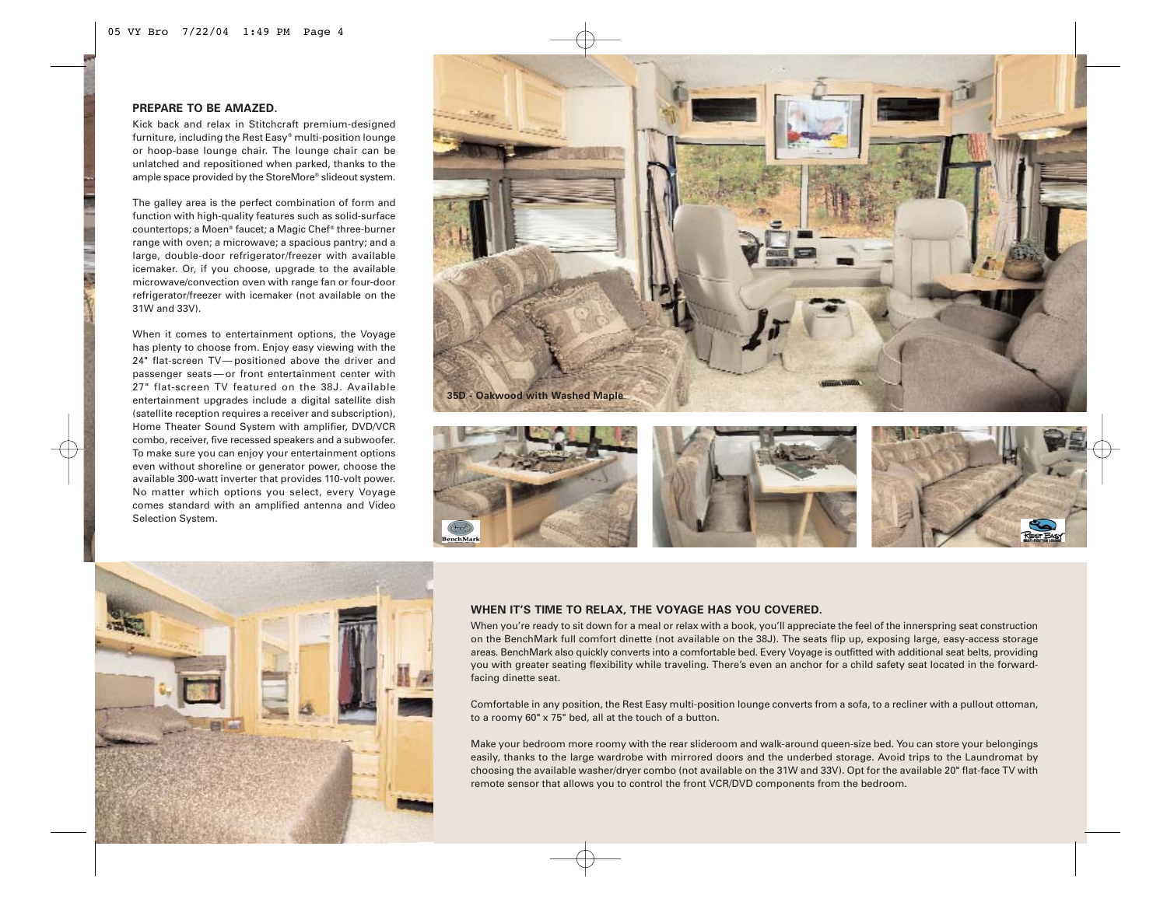#### **PREPARE TO BE AMAZED.**

Kick back and relax in Stitchcraft premium-designed furniture, including the Rest Easy® multi-position lounge or hoop-base lounge chair. The lounge chair can be unlatched and repositioned when parked, thanks to the ample space provided by the StoreMore® slideout system.

The galley area is the perfect combination of form and function with high-quality features such as solid-surface countertops; a Moen® faucet; a Magic Chef® three-burner range with oven; a microwave; a spacious pantry; and a large, double-door refrigerator/freezer with available icemaker. Or, if you choose, upgrade to the available microwave/convection oven with range fan or four-door refrigerator/freezer with icemaker (not available on the 31W and 33V).

When it comes to entertainment options, the Voyage has plenty to choose from. Enjoy easy viewing with the 24" flat-screen TV— positioned above the driver and passenger seats — or front entertainment center with 27" flat-screen TV featured on the 38J. Available entertainment upgrades include a digital satellite dish (satellite reception requires a receiver and subscription), Home Theater Sound System with amplifier, DVD/VCR combo, receiver, five recessed speakers and a subwoofer. To make sure you can enjoy your entertainment options even without shoreline or generator power, choose the available 300-watt inverter that provides 110-volt power. No matter which options you select, every Voyage comes standard with an amplified antenna and Video Selection System.





#### **WHEN IT'S TIME TO RELAX, THE VOYAGE HAS YOU COVERED.**

When you're ready to sit down for a meal or relax with a book, you'll appreciate the feel of the innerspring seat construction on the BenchMark full comfort dinette (not available on the 38J). The seats flip up, exposing large, easy-access storage areas. BenchMark also quickly converts into a comfortable bed. Every Voyage is outfitted with additional seat belts, providing you with greater seating flexibility while traveling. There's even an anchor for a child safety seat located in the forwardfacing dinette seat.

Comfortable in any position, the Rest Easy multi-position lounge converts from a sofa, to a recliner with a pullout ottoman, to a roomy 60" x 75" bed, all at the touch of a button.

Make your bedroom more roomy with the rear slideroom and walk-around queen-size bed. You can store your belongings easily, thanks to the large wardrobe with mirrored doors and the underbed storage. Avoid trips to the Laundromat by choosing the available washer/dryer combo (not available on the 31W and 33V). Opt for the available 20" flat-face TV with remote sensor that allows you to control the front VCR/DVD components from the bedroom.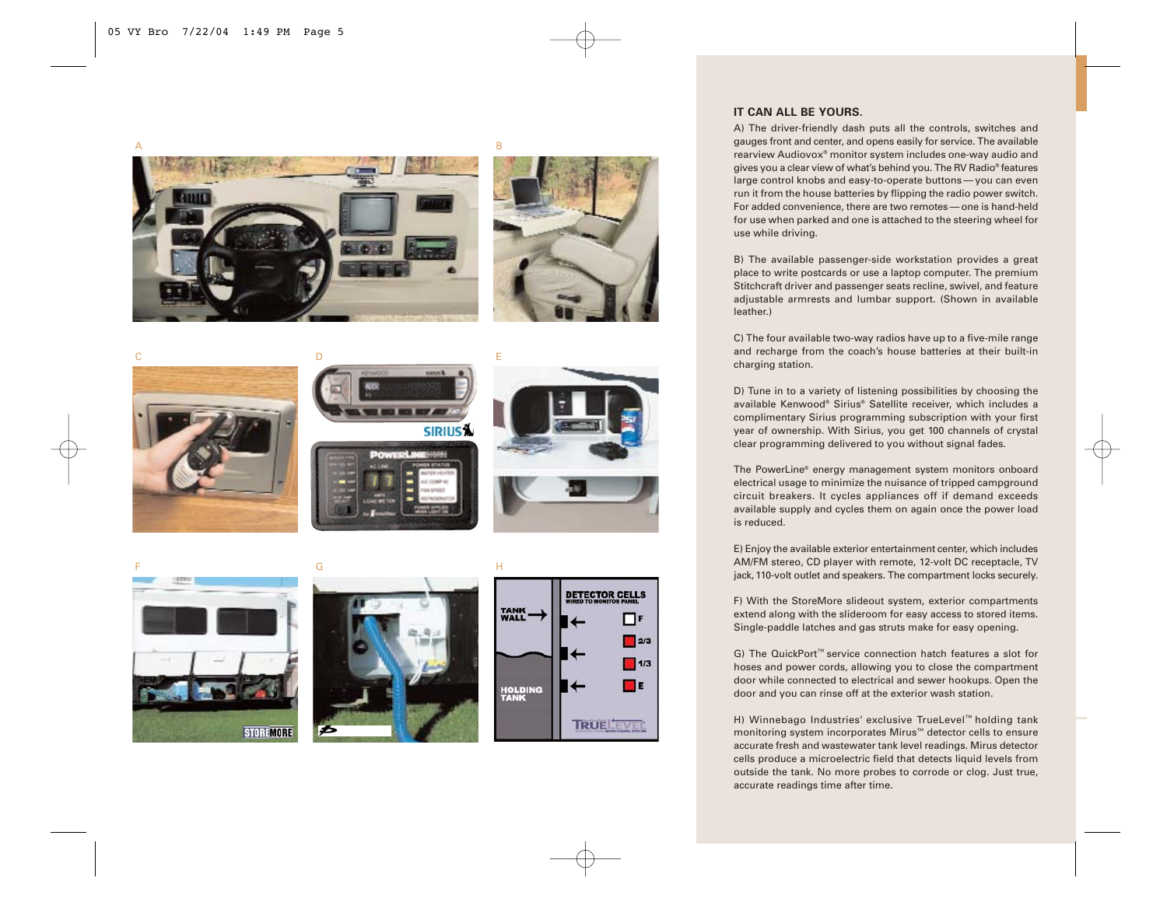







### **IT CAN ALL BE YOURS.**

A) The driver-friendly dash puts all the controls, switches and gauges front and center, and opens easily for service. The available rearview Audiovox® monitor system includes one-way audio and gives you a clear view of what's behind you. The RV Radio® features large control knobs and easy-to-operate buttons — you can even run it from the house batteries by flipping the radio power switch. For added convenience, there are two remotes — one is hand-held for use when parked and one is attached to the steering wheel for use while driving.

B) The available passenger-side workstation provides a great place to write postcards or use a laptop computer. The premium Stitchcraft driver and passenger seats recline, swivel, and feature adjustable armrests and lumbar support. (Shown in available leather.)

C) The four available two-way radios have up to a five-mile range and recharge from the coach's house batteries at their built-in charging station.

D) Tune in to a variety of listening possibilities by choosing the available Kenwood® Sirius® Satellite receiver, which includes a complimentary Sirius programming subscription with your first year of ownership. With Sirius, you get 100 channels of crystal clear programming delivered to you without signal fades.

The PowerLine® energy management system monitors onboard electrical usage to minimize the nuisance of tripped campground circuit breakers. It cycles appliances off if demand exceeds available supply and cycles them on again once the power load is reduced.

E) Enjoy the available exterior entertainment center, which includes AM/FM stereo, CD player with remote, 12-volt DC receptacle, TV jack, 110-volt outlet and speakers. The compartment locks securely.

F) With the StoreMore slideout system, exterior compartments extend along with the slideroom for easy access to stored items. Single-paddle latches and gas struts make for easy opening.

G) The QuickPort™ service connection hatch features a slot for hoses and power cords, allowing you to close the compartment door while connected to electrical and sewer hookups. Open the door and you can rinse off at the exterior wash station.

H) Winnebago Industries' exclusive TrueLevel™ holding tank monitoring system incorporates Mirus™ detector cells to ensure accurate fresh and wastewater tank level readings. Mirus detector cells produce a microelectric field that detects liquid levels from outside the tank. No more probes to corrode or clog. Just true, accurate readings time after time.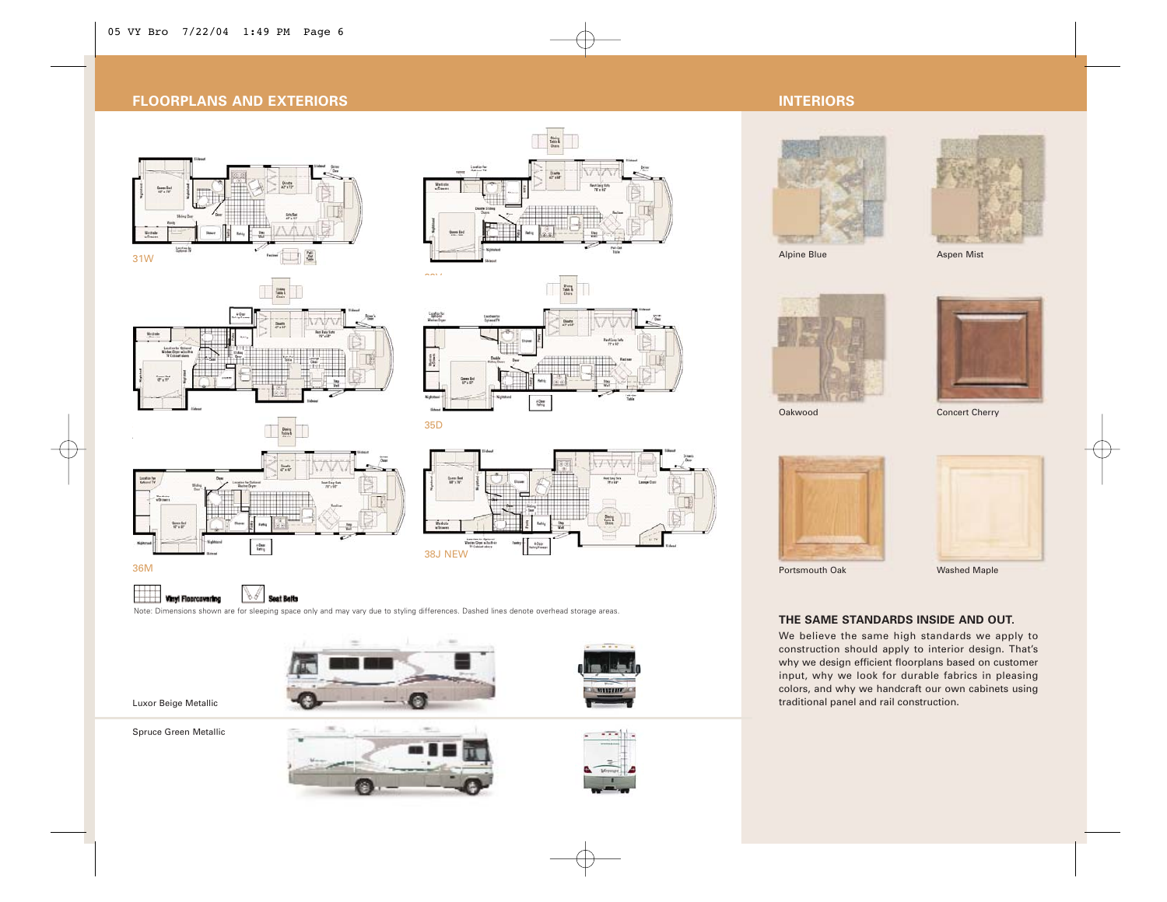# **FLOORPLANS AND EXTERIORS**









35D



 $\frac{\text{Diss}}{\text{Miss} \cdot \text{B}}$ 



36M

 $\pm$ **Vinyl Floorcovering** Seat Belts

Note: Dimensions shown are for sleeping space only and may vary due to styling differences. Dashed lines denote overhead storage areas.



Luxor Beige Metallic

Spruce Green Metallic







# **INTERIORS**









Oakwood Concert Cherry





Portsmouth Oak Washed Maple

### **THE SAME STANDARDS INSIDE AND OUT.**

We believe the same high standards we apply to construction should apply to interior design. That's why we design efficient floorplans based on customer input, why we look for durable fabrics in pleasing colors, and why we handcraft our own cabinets using traditional panel and rail construction.

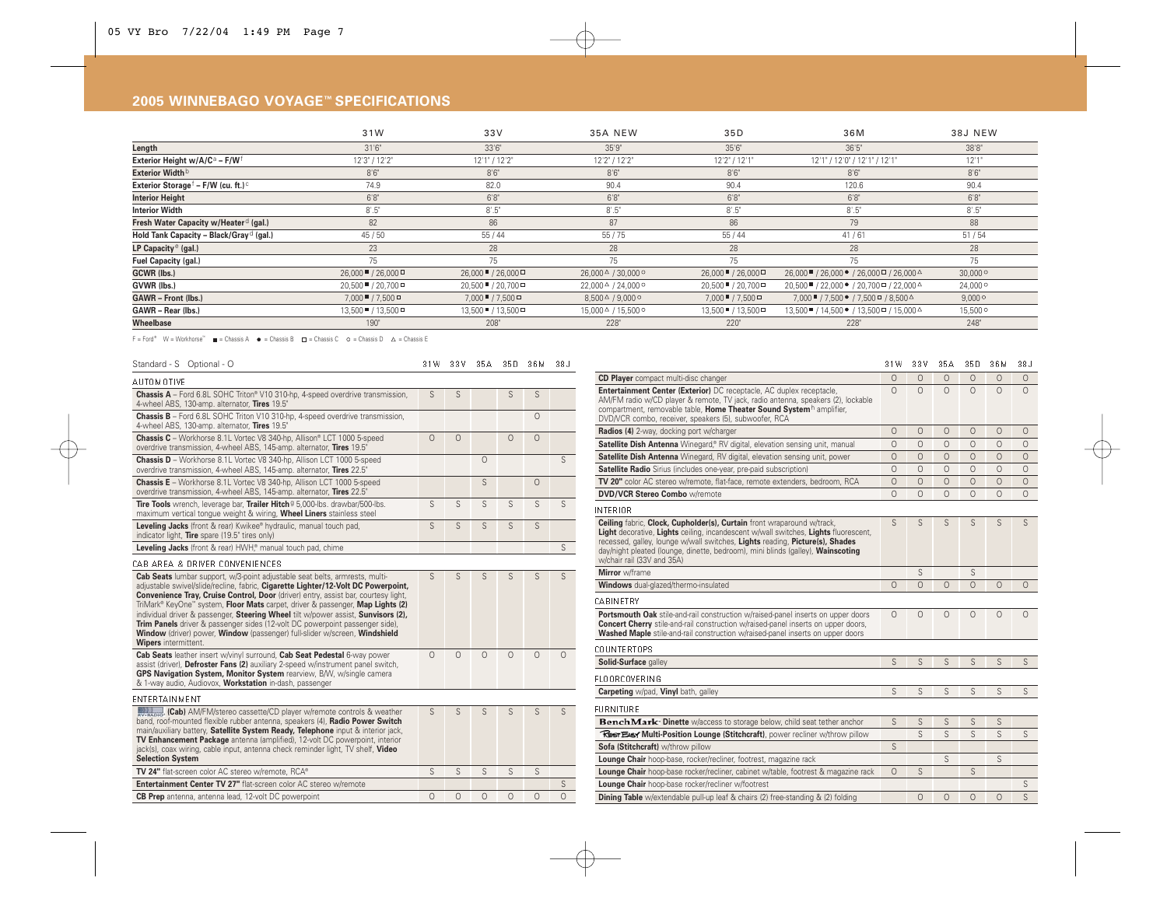# **2005 WINNEBAGO VOYAGE™ SPECIFICATIONS**

|                                                                               | 31W                                           | 33V                                             | 35A NEW                              | 35D                                             | 36M                                                                                           | 38J NEW                |
|-------------------------------------------------------------------------------|-----------------------------------------------|-------------------------------------------------|--------------------------------------|-------------------------------------------------|-----------------------------------------------------------------------------------------------|------------------------|
| Length                                                                        | 31'6''                                        | 33'6''                                          | 35'9''                               | 35'6''                                          | 36'5''                                                                                        | 38'8"                  |
| Exterior Height w/A/C <sup>a</sup> - F/W <sup>f</sup>                         | 12'3" / 12'2"                                 | 12'1" / 12'2"                                   | 12'2" / 12'2"                        | 12'2''/12'1''                                   | 12'1" / 12'0" / 12'1" / 12'1"                                                                 | 12'1'                  |
| Exterior Width <b>b</b>                                                       | 8'6''                                         | 8'6''                                           | 8'6''                                | 8'6''                                           | 8'6''                                                                                         | 8'6''                  |
| Exterior Storage <sup><math>\dagger</math></sup> – F/W (cu. ft.) <sup>c</sup> | 74.9                                          | 82.0                                            | 90.4                                 | 90.4                                            | 120.6                                                                                         | 90.4                   |
| <b>Interior Height</b>                                                        | 6'8''                                         | 6'8''                                           | 6'8''                                | 6'8''                                           | 6'8''                                                                                         | 6'8''                  |
| <b>Interior Width</b>                                                         | $8^{\circ} \cdot 5^{\circ}$                   | $8^{\circ} \cdot 5^{\circ}$                     | $8^{\circ} \cdot 5^{\circ}$          | $8^{\circ} \cdot .5^{\circ}$                    | $8^{\circ} \cdot 5^{\circ}$                                                                   | $8^{\circ} .5^{\circ}$ |
| Fresh Water Capacity w/Heater <sup>d</sup> (gal.)                             | 82                                            | 86                                              | 87                                   | 86                                              | 79                                                                                            | 88                     |
| Hold Tank Capacity - Black/Gray <sup>d</sup> (gal.)                           | 45/50                                         | 55/44                                           | 55/75                                | 55/44                                           | 41/61                                                                                         | 51/54                  |
| LP Capacity <sup>e</sup> (gal.)                                               | 23                                            | 28                                              | 28                                   | 28                                              | 28                                                                                            | 28                     |
| Fuel Capacity (gal.)                                                          | 75                                            | 75                                              | 75                                   | 75                                              | 75                                                                                            | 75                     |
| GCWR (lbs.)                                                                   | 26,000 ■ / 26,000 □                           | $26,000$ $\blacksquare$ / 26,000 $\blacksquare$ | $26,000 \triangle$ / 30,000 $\circ$  | $26,000$ $\blacksquare$ / 26,000 $\blacksquare$ | $26,000$ $\blacksquare$ / 26,000 $\blacklozenge$ / 26,000 $\blacksquare$ / 26,000 $\triangle$ | $30,000^{\circ}$       |
| GVWR (lbs.)                                                                   | 20,500 " / 20,700 □                           | 20,500 ■ / 20,700 □                             | $22,000^{\circ}$ / 24,000 $^{\circ}$ | 20,500 " / 20,700 □                             | $20,500$ $\blacksquare$ / 22,000 $\blacklozenge$ / 20,700 $\blacksquare$ / 22,000 $\triangle$ | 24.000                 |
| <b>GAWR</b> - Front (lbs.)                                                    | $7,000$ $\blacksquare$ / 7,500 $\blacksquare$ | 7,000 ■ / 7,500 □                               | $8,500^{\circ}$ / $9,000^{\circ}$    | $7,000$ $\blacksquare$ / 7,500 $\blacksquare$   | $7,000$ $\blacksquare$ / 7,500 $\blacklozenge$ / 7,500 $\square$ / 8,500 $\triangle$          | $9,000^{\circ}$        |
| GAWR - Rear (lbs.)                                                            | 13,500 " / 13,500 □                           | 13,500 $\blacksquare$ / 13,500 $\blacksquare$   | 15,000 △ / 15,500 ○                  | 13,500 $\blacksquare$ / 13,500 $\blacksquare$   | 13,500 " / 14,500 * / 13,500 " / 15,000 $\triangle$                                           | $15,500^{\circ}$       |
| Wheelbase                                                                     | $190^{\circ}$                                 | 208"                                            | 228"                                 | 220"                                            | 228"                                                                                          | 248"                   |

 $F =$  Ford<sup>®</sup> W = Workhorse  $\blacksquare$  = Chassis A  $\spadesuit$  = Chassis B  $\Box$  = Chassis C  $\heartsuit$  = Chassis D  $\triangle$  = Chassis E

| Standard - S Optional - O                                                                                                                                                                                                                                                                                                                |          |               |               | 31W 33V 35A 35D 36M 38J |               |          |                                                                                                                                                                                                                                                                | 31W      | 33 V          | 35A           | 35 D          | 36 M          | 38.      |
|------------------------------------------------------------------------------------------------------------------------------------------------------------------------------------------------------------------------------------------------------------------------------------------------------------------------------------------|----------|---------------|---------------|-------------------------|---------------|----------|----------------------------------------------------------------------------------------------------------------------------------------------------------------------------------------------------------------------------------------------------------------|----------|---------------|---------------|---------------|---------------|----------|
| AUTOMOTIVE                                                                                                                                                                                                                                                                                                                               |          |               |               |                         |               |          | <b>CD Player</b> compact multi-disc changer                                                                                                                                                                                                                    | $\Omega$ | $\Omega$      |               |               | $\Omega$      |          |
| <b>Chassis A</b> - Ford 6.8L SOHC Triton® V10 310-hp, 4-speed overdrive transmission,<br>4-wheel ABS, 130-amp. alternator, Tires 19.5'                                                                                                                                                                                                   | S.       | $\mathcal{S}$ |               | $\mathcal{S}$           | $\mathcal{S}$ |          | Entertainment Center (Exterior) DC receptacle, AC duplex receptacle,<br>AM/FM radio w/CD player & remote, TV jack, radio antenna, speakers (2), lockable<br>compartment, removable table, Home Theater Sound System <sup>h</sup> amplifier,                    |          | $\Omega$      | $\cap$        | $\cap$        | $\cap$        |          |
| Chassis B - Ford 6.8L SOHC Triton V10 310-hp, 4-speed overdrive transmission,<br>4-wheel ABS, 130-amp. alternator, Tires 19.5'                                                                                                                                                                                                           |          |               |               |                         | $\circ$       |          | DVD/VCR combo, receiver, speakers (5), subwoofer, RCA                                                                                                                                                                                                          |          |               |               |               |               |          |
| <b>Chassis C</b> - Workhorse 8.1L Vortec V8 340-hp, Allison® LCT 1000 5-speed                                                                                                                                                                                                                                                            | $\Omega$ | $\Omega$      |               | $\Omega$                | $\circ$       |          | Radios (4) 2-way, docking port w/charger                                                                                                                                                                                                                       | $\Omega$ | $\circ$       | $\circ$       | $\circ$       | $\circ$       |          |
| overdrive transmission, 4-wheel ABS, 145-amp. alternator, Tires 19.5'                                                                                                                                                                                                                                                                    |          |               |               |                         |               |          | Satellite Dish Antenna Winegard,® RV digital, elevation sensing unit, manual                                                                                                                                                                                   | $\circ$  | $\circ$       | $\Omega$      | $\Omega$      | $\Omega$      | $\Omega$ |
| Chassis D - Workhorse 8.1L Vortec V8 340-hp, Allison LCT 1000 5-speed                                                                                                                                                                                                                                                                    |          |               | $\Omega$      |                         |               | S        | Satellite Dish Antenna Winegard, RV digital, elevation sensing unit, power                                                                                                                                                                                     | $\circ$  | $\circ$       | $\Omega$      | $\circ$       | $\circ$       | $\Omega$ |
| overdrive transmission, 4-wheel ABS, 145-amp. alternator, Tires 22.5"                                                                                                                                                                                                                                                                    |          |               |               |                         |               |          | Satellite Radio Sirius (includes one-year, pre-paid subscription)                                                                                                                                                                                              | $\Omega$ | $\circ$       | $\Omega$      | $\Omega$      | $\circ$       | $\Omega$ |
| Chassis E - Workhorse 8.1L Vortec V8 340-hp, Allison LCT 1000 5-speed<br>overdrive transmission, 4-wheel ABS, 145-amp, alternator, Tires 22.5                                                                                                                                                                                            |          |               | S             |                         | $\circ$       |          | TV 20" color AC stereo w/remote, flat-face, remote extenders, bedroom, RCA                                                                                                                                                                                     | $\circ$  | $\Omega$      | $\Omega$      | $\Omega$      | $\Omega$      | $\Omega$ |
| Tire Tools wrench, leverage bar, Trailer Hitch 9 5,000-lbs. drawbar/500-lbs.                                                                                                                                                                                                                                                             | S.       | $\mathcal{S}$ | S             | S                       | S             | S.       | <b>DVD/VCR Stereo Combo w/remote</b>                                                                                                                                                                                                                           | $\Omega$ | $\Omega$      | $\Omega$      | $\circ$       | $\circ$       | $\Omega$ |
| maximum vertical tonque weight & wiring, Wheel Liners stainless steel                                                                                                                                                                                                                                                                    |          |               |               |                         |               |          | <b>INTERIOR</b>                                                                                                                                                                                                                                                |          |               |               |               |               |          |
| Leveling Jacks (front & rear) Kwikee® hydraulic, manual touch pad,<br>indicator light, Tire spare (19.5" tires only)                                                                                                                                                                                                                     | S        | S             | $\mathcal{S}$ | <sub>S</sub>            | $\mathcal{S}$ |          | Ceiling fabric, Clock, Cupholder(s), Curtain front wraparound w/track,<br>Light decorative, Lights ceiling, incandescent w/wall switches, Lights fluorescent,<br>recessed, galley, lounge w/wall switches, Lights reading, Picture(s), Shades                  |          |               |               |               |               |          |
| Leveling Jacks (front & rear) HWH, <sup>e</sup> manual touch pad, chime                                                                                                                                                                                                                                                                  |          |               |               |                         |               | S        | day/night pleated (lounge, dinette, bedroom), mini blinds (galley), Wainscoting                                                                                                                                                                                |          |               |               |               |               |          |
| CAB AREA & DRIVER CONVENIENCES                                                                                                                                                                                                                                                                                                           |          |               |               |                         |               |          | w/chair rail (33V and 35A)                                                                                                                                                                                                                                     |          |               |               |               |               |          |
| Cab Seats lumbar support, w/3-point adjustable seat belts, armrests, multi-<br>adjustable swivel/slide/recline, fabric, Cigarette Lighter/12-Volt DC Powerpoint,<br>Convenience Tray, Cruise Control, Door (driver) entry, assist bar, courtesy light,<br>TriMark® KeyOne™ system, Floor Mats carpet, driver & passenger, Map Lights (2) |          | S             |               | ς                       | $\varsigma$   | S        | Mirror w/frame                                                                                                                                                                                                                                                 |          | <sub>S</sub>  |               | S             |               |          |
|                                                                                                                                                                                                                                                                                                                                          |          |               |               |                         |               |          | Windows dual-glazed/thermo-insulated<br>CABINETRY                                                                                                                                                                                                              | $\Omega$ | $\circ$       | $\Omega$      | $\circ$       | $\circ$       |          |
| individual driver & passenger, Steering Wheel tilt w/power assist, Sunvisors (2),<br>Trim Panels driver & passenger sides (12-volt DC powerpoint passenger side),<br>Window (driver) power, Window (passenger) full-slider w/screen, Windshield<br>Wipers intermittent.                                                                  |          |               |               |                         |               |          | Portsmouth Oak stile-and-rail construction w/raised-panel inserts on upper doors<br><b>Concert Cherry</b> stile-and-rail construction w/raised-panel inserts on upper doors.<br>Washed Maple stile-and-rail construction w/raised-panel inserts on upper doors | $\Omega$ | $\Omega$      |               |               |               |          |
| Cab Seats leather insert w/vinyl surround, Cab Seat Pedestal 6-way power                                                                                                                                                                                                                                                                 | $\Omega$ | $\circ$       | $\circ$       | $\circ$                 | $\circ$       | $\Omega$ | COUNTERTOPS                                                                                                                                                                                                                                                    |          |               |               |               |               |          |
| assist (driver), Defroster Fans (2) auxiliary 2-speed w/instrument panel switch,                                                                                                                                                                                                                                                         |          |               |               |                         |               |          | Solid-Surface galley                                                                                                                                                                                                                                           | S        | S             | S             | $\mathcal{S}$ | S             |          |
| GPS Navigation System, Monitor System rearview, B/W, w/single camera<br>& 1-way audio, Audiovox, Workstation in-dash, passenger                                                                                                                                                                                                          |          |               |               |                         |               |          | <b>FLOORCOVERING</b>                                                                                                                                                                                                                                           |          |               |               |               |               |          |
|                                                                                                                                                                                                                                                                                                                                          |          |               |               |                         |               |          | Carpeting w/pad, Vinyl bath, galley                                                                                                                                                                                                                            | S.       | S.            | S.            | S             | S             |          |
| <b>ENTERTAINMENT</b>                                                                                                                                                                                                                                                                                                                     | S        | $\mathcal{S}$ | $\mathcal{S}$ | $\mathcal{S}$           | $\mathcal{S}$ | S.       | <b>FURNITURE</b>                                                                                                                                                                                                                                               |          |               |               |               |               |          |
| (Cab) AM/FM/stereo cassette/CD player w/remote controls & weather<br>band, roof-mounted flexible rubber antenna, speakers (4), Radio Power Switch                                                                                                                                                                                        |          |               |               |                         |               |          | BenchMark: Dinette w/access to storage below, child seat tether anchor                                                                                                                                                                                         | S.       | $\mathcal{S}$ | $\mathcal{S}$ | S             | S             |          |
| main/auxiliary battery, Satellite System Ready, Telephone input & interior jack,                                                                                                                                                                                                                                                         |          |               |               |                         |               |          | Rest Easy" Multi-Position Lounge (Stitchcraft), power recliner w/throw pillow                                                                                                                                                                                  |          | S             | $\mathcal{S}$ | S             | $\mathcal{S}$ |          |
| TV Enhancement Package antenna (amplified), 12-volt DC powerpoint, interior                                                                                                                                                                                                                                                              |          |               |               |                         |               |          | Sofa (Stitchcraft) w/throw pillow                                                                                                                                                                                                                              | S        |               |               |               |               |          |
| jack(s), coax wiring, cable input, antenna check reminder light, TV shelf, Video<br><b>Selection System</b>                                                                                                                                                                                                                              |          |               |               |                         |               |          | Lounge Chair hoop-base, rocker/recliner, footrest, magazine rack                                                                                                                                                                                               |          |               | S             |               | S             |          |
| TV 24" flat-screen color AC stereo w/remote. RCA®                                                                                                                                                                                                                                                                                        | S.       | S             | S.            | S.                      | $\mathcal{S}$ |          | Lounge Chair hoop-base rocker/recliner, cabinet w/table, footrest & magazine rack                                                                                                                                                                              | $\Omega$ | $\mathcal{S}$ |               | $\mathsf{S}$  |               |          |
| Entertainment Center TV 27" flat-screen color AC stereo w/remote                                                                                                                                                                                                                                                                         |          |               |               |                         |               | S        | Lounge Chair hoop-base rocker/recliner w/footrest                                                                                                                                                                                                              |          |               |               |               |               |          |
| CB Prep antenna, antenna lead, 12-volt DC powerpoint                                                                                                                                                                                                                                                                                     | $\Omega$ | $\Omega$      | $\Omega$      | $\Omega$                | $\Omega$      | $\Omega$ | Dining Table w/extendable pull-up leaf & chairs (2) free-standing & (2) folding                                                                                                                                                                                |          | $\Omega$      | $\Omega$      | $\Omega$      | $\Omega$      |          |
|                                                                                                                                                                                                                                                                                                                                          |          |               |               |                         |               |          |                                                                                                                                                                                                                                                                |          |               |               |               |               |          |

|                                                                                                                                                                                                                                                                                                                                                                | 31W      | 33 V     | 35A      | 35 D     | 36M      | 38 J           |
|----------------------------------------------------------------------------------------------------------------------------------------------------------------------------------------------------------------------------------------------------------------------------------------------------------------------------------------------------------------|----------|----------|----------|----------|----------|----------------|
| CD Player compact multi-disc changer                                                                                                                                                                                                                                                                                                                           | 0        | $\Omega$ | $\Omega$ | $\Omega$ | $\Omega$ | $\circ$        |
| Entertainment Center (Exterior) DC receptacle, AC duplex receptacle,<br>AM/FM radio w/CD player & remote, TV jack, radio antenna, speakers (2), lockable<br>compartment, removable table, Home Theater Sound System <sup>h</sup> amplifier,<br>DVD/VCR combo, receiver, speakers (5), subwoofer, RCA                                                           | $\Omega$ | $\Omega$ | $\Omega$ | $\Omega$ | $\Omega$ | $\Omega$       |
| Radios (4) 2-way, docking port w/charger                                                                                                                                                                                                                                                                                                                       | $\circ$  | $\circ$  | $\circ$  | $\circ$  | 0        | $\circ$        |
| Satellite Dish Antenna Winegard® RV digital, elevation sensing unit, manual                                                                                                                                                                                                                                                                                    | $\Omega$ | $\Omega$ | $\Omega$ | $\Omega$ | $\Omega$ | $\circ$        |
| Satellite Dish Antenna Winegard, RV digital, elevation sensing unit, power                                                                                                                                                                                                                                                                                     | 0        | $\circ$  | $\Omega$ | $\Omega$ | $\circ$  | $\circ$        |
| Satellite Radio Sirius (includes one-year, pre-paid subscription)                                                                                                                                                                                                                                                                                              | $\Omega$ | $\Omega$ | $\Omega$ | $\Omega$ | $\Omega$ | $\circ$        |
| TV 20" color AC stereo w/remote, flat-face, remote extenders, bedroom, RCA                                                                                                                                                                                                                                                                                     | $\Omega$ | $\Omega$ | $\Omega$ | $\circ$  | $\circ$  | $\circ$        |
| <b>DVD/VCR Stereo Combo w/remote</b>                                                                                                                                                                                                                                                                                                                           | $\Omega$ | $\Omega$ | $\Omega$ | $\Omega$ | $\Omega$ | $\Omega$       |
| <b>NTERIOR</b>                                                                                                                                                                                                                                                                                                                                                 |          |          |          |          |          |                |
| Ceiling fabric, Clock, Cupholder(s), Curtain front wraparound w/track,<br>Light decorative, Lights ceiling, incandescent w/wall switches, Lights fluorescent,<br>recessed, galley, lounge w/wall switches, Lights reading, Picture(s), Shades<br>day/night pleated (lounge, dinette, bedroom), mini blinds (galley), Wainscoting<br>w/chair rail (33V and 35A) | S        | S        | S.       | S        | S        | S              |
| Mirror w/frame                                                                                                                                                                                                                                                                                                                                                 |          | S        |          | S        |          |                |
| Windows dual-glazed/thermo-insulated                                                                                                                                                                                                                                                                                                                           | 0        | $\circ$  | $\circ$  | $\circ$  | $\circ$  | $\circ$        |
| CABINETRY                                                                                                                                                                                                                                                                                                                                                      |          |          |          |          |          |                |
| Portsmouth Oak stile-and-rail construction w/raised-panel inserts on upper doors<br><b>Concert Cherry</b> stile-and-rail construction w/raised-panel inserts on upper doors,<br>Washed Maple stile-and-rail construction w/raised-panel inserts on upper doors                                                                                                 | $\Omega$ | $\Omega$ | $\Omega$ | $\Omega$ | $\Omega$ | $\Omega$       |
| COUNTERTOPS                                                                                                                                                                                                                                                                                                                                                    |          |          |          |          |          |                |
| Solid-Surface galley                                                                                                                                                                                                                                                                                                                                           | S        | S        | S        | S        | S        | S              |
| FLOORCOVERING                                                                                                                                                                                                                                                                                                                                                  |          |          |          |          |          |                |
| Carpeting w/pad, Vinyl bath, galley                                                                                                                                                                                                                                                                                                                            | S        | S        | S        | S        | S        | S              |
| FURNITURE                                                                                                                                                                                                                                                                                                                                                      |          |          |          |          |          |                |
| BenchMark <sup>-</sup> Dinette w/access to storage below, child seat tether anchor                                                                                                                                                                                                                                                                             | S        | S        | S        | S        | S        |                |
| Rest Easy' Multi-Position Lounge (Stitchcraft), power recliner w/throw pillow                                                                                                                                                                                                                                                                                  |          | S        | S        | S        | S        | S              |
| Sofa (Stitchcraft) w/throw pillow                                                                                                                                                                                                                                                                                                                              | S        |          |          |          |          |                |
| Lounge Chair hoop-base, rocker/recliner, footrest, magazine rack                                                                                                                                                                                                                                                                                               |          |          | S        |          | S        |                |
| Lounge Chair hoop-base rocker/recliner, cabinet w/table, footrest & magazine rack                                                                                                                                                                                                                                                                              | $\circ$  | S        |          | S        |          |                |
| Lounge Chair hoop-base rocker/recliner w/footrest                                                                                                                                                                                                                                                                                                              |          |          |          |          |          | S              |
| <b>Dining Table</b> w/extendable pull-up leaf & chairs (2) free-standing & (2) folding                                                                                                                                                                                                                                                                         |          | $\circ$  | $\circ$  | $\circ$  | $\circ$  | $\overline{S}$ |